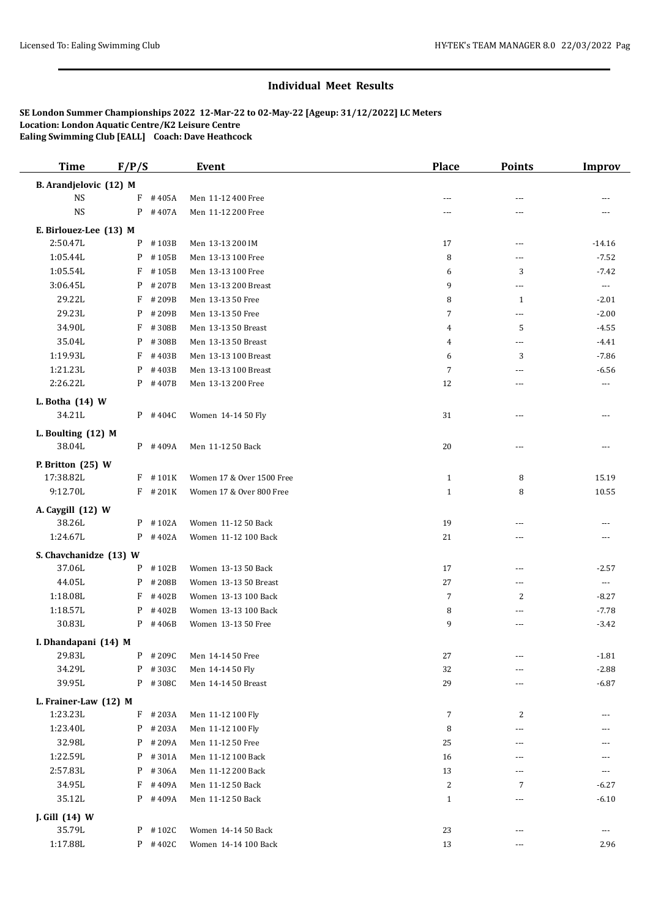## **Individual Meet Results**

**SE London Summer Championships 2022 12-Mar-22 to 02-May-22 [Ageup: 31/12/2022] LC Meters Location: London Aquatic Centre/K2 Leisure Centre Ealing Swimming Club [EALL] Coach: Dave Heathcock**

| <b>Time</b>                 | F/P/S |            | <b>Event</b>              | <b>Place</b>   | <b>Points</b>            | <b>Improv</b>         |
|-----------------------------|-------|------------|---------------------------|----------------|--------------------------|-----------------------|
| B. Arandjelovic (12) M      |       |            |                           |                |                          |                       |
| <b>NS</b>                   | F     | #405A      | Men 11-12 400 Free        | ---            | ---                      |                       |
| <b>NS</b>                   |       | $P$ #407A  | Men 11-12 200 Free        | ---            | ---                      |                       |
| E. Birlouez-Lee (13) M      |       |            |                           |                |                          |                       |
| 2:50.47L                    | P     | #103B      | Men 13-13 200 IM          | 17             | $\overline{a}$           | $-14.16$              |
| 1:05.44L                    | P     | #105B      | Men 13-13 100 Free        | 8              | $\overline{a}$           | $-7.52$               |
| 1:05.54L                    | F     | #105B      | Men 13-13 100 Free        | 6              | 3                        | $-7.42$               |
| 3:06.45L                    | P     | #207B      | Men 13-13 200 Breast      | 9              | $\scriptstyle\cdots$ .   | $\scriptstyle \cdots$ |
| 29.22L                      | F     | #209B      | Men 13-13 50 Free         | 8              | $\mathbf{1}$             | $-2.01$               |
| 29.23L                      | P     | #209B      | Men 13-13 50 Free         | 7              | ---                      | $-2.00$               |
| 34.90L                      | F     | #308B      | Men 13-13 50 Breast       | 4              | 5                        | $-4.55$               |
| 35.04L                      | P     | #308B      | Men 13-13 50 Breast       | 4              | ---                      | $-4.41$               |
| 1:19.93L                    | F     | #403B      | Men 13-13 100 Breast      | 6              | 3                        | $-7.86$               |
| 1:21.23L                    | P     | #403B      | Men 13-13 100 Breast      | 7              | ---                      | $-6.56$               |
| 2:26.22L                    |       | $P$ # 407B | Men 13-13 200 Free        | 12             | ---                      | $\cdots$              |
|                             |       |            |                           |                |                          |                       |
| L. Botha (14) W             |       |            |                           |                |                          |                       |
| 34.21L                      |       | $P$ #404C  | Women 14-14 50 Fly        | 31             | ---                      | $---$                 |
| L. Boulting (12) M          |       |            |                           |                |                          |                       |
| 38.04L                      |       | $P$ #409A  | Men 11-12 50 Back         | 20             | $---$                    |                       |
| P. Britton (25) W           |       |            |                           |                |                          |                       |
| 17:38.82L                   |       | $F$ #101K  | Women 17 & Over 1500 Free | $\mathbf{1}$   | 8                        | 15.19                 |
| 9:12.70L                    |       | $F$ # 201K | Women 17 & Over 800 Free  | $\mathbf{1}$   | 8                        | 10.55                 |
|                             |       |            |                           |                |                          |                       |
| A. Caygill (12) W<br>38.26L |       | $P$ #102A  | Women 11-12 50 Back       | 19             | ---                      |                       |
| 1:24.67L                    |       | P #402A    | Women 11-12 100 Back      | 21             | ---                      |                       |
|                             |       |            |                           |                |                          | ---                   |
| S. Chavchanidze (13) W      |       |            |                           |                |                          |                       |
| 37.06L                      | P     | #102B      | Women 13-13 50 Back       | 17             | $\sim$ $\sim$            | $-2.57$               |
| 44.05L                      | P     | #208B      | Women 13-13 50 Breast     | 27             | $---$                    | $\scriptstyle \cdots$ |
| 1:18.08L                    | F     | #402B      | Women 13-13 100 Back      | $\overline{7}$ | 2                        | $-8.27$               |
| 1:18.57L                    | P     | #402B      | Women 13-13 100 Back      | 8              | ---                      | $-7.78$               |
| 30.83L                      |       | $P$ #406B  | Women 13-13 50 Free       | 9              | ---                      | $-3.42$               |
| I. Dhandapani (14) M        |       |            |                           |                |                          |                       |
| 29.83L                      |       | P #209C    | Men 14-14 50 Free         | 27             | ---                      | $-1.81$               |
| 34.29L                      |       | P #303C    | Men 14-14 50 Fly          | 32             | ---                      | $-2.88$               |
| 39.95L                      |       | P #308C    | Men 14-14 50 Breast       | 29             | ---                      | $-6.87$               |
| L. Frainer-Law (12) M       |       |            |                           |                |                          |                       |
| 1:23.23L                    | F     | #203A      | Men 11-12 100 Fly         | $\overline{7}$ | 2                        |                       |
| 1:23.40L                    | P     | #203A      | Men 11-12 100 Fly         | 8              | ---                      | ---                   |
| 32.98L                      |       | $P$ # 209A | Men 11-12 50 Free         | 25             | ---                      | ---                   |
| 1:22.59L                    | P     | #301A      | Men 11-12 100 Back        | 16             | ---                      |                       |
| 2:57.83L                    | P     | #306A      | Men 11-12 200 Back        | 13             | ---                      | ---                   |
| 34.95L                      | F     | #409A      | Men 11-12 50 Back         | 2              | 7                        | $-6.27$               |
|                             |       |            |                           |                |                          |                       |
| 35.12L                      |       | $P$ #409A  | Men 11-12 50 Back         | $\mathbf{1}$   | $\cdots$                 | $-6.10$               |
| J. Gill (14) W              |       |            |                           |                |                          |                       |
| 35.79L                      |       | P #102C    | Women 14-14 50 Back       | 23             | $\overline{a}$           | $\scriptstyle\cdots$  |
| 1:17.88L                    |       | P #402C    | Women 14-14 100 Back      | 13             | $\overline{\phantom{a}}$ | 2.96                  |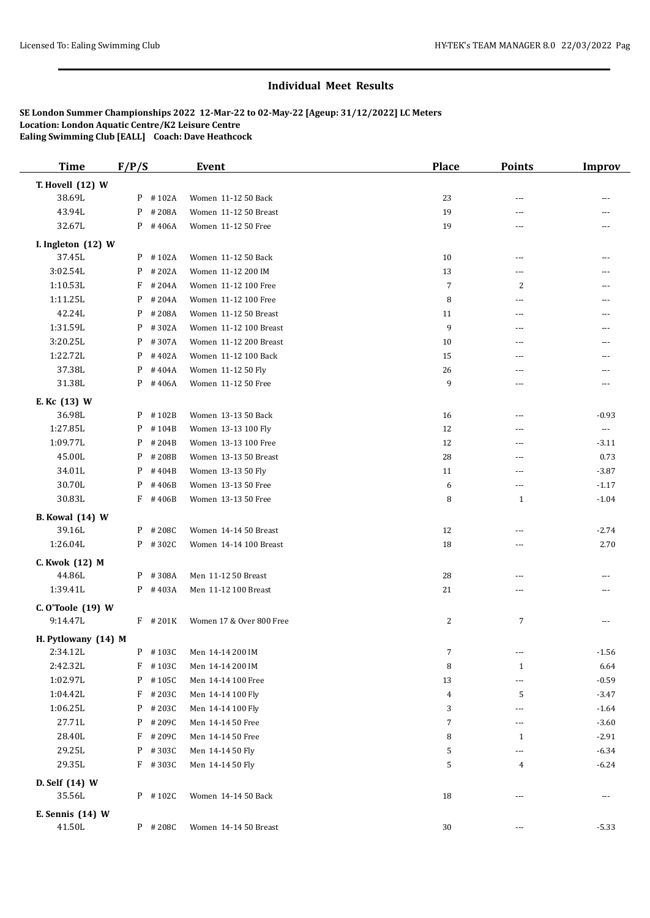## **Individual Meet Results**

**SE London Summer Championships 2022 12-Mar-22 to 02-May-22 [Ageup: 31/12/2022] LC Meters Location: London Aquatic Centre/K2 Leisure Centre Ealing Swimming Club [EALL] Coach: Dave Heathcock**

| <b>Time</b>                      | F/P/S |            | <b>Event</b>             | <b>Place</b>   | <b>Points</b>            | <b>Improv</b>        |
|----------------------------------|-------|------------|--------------------------|----------------|--------------------------|----------------------|
| T. Hovell (12) W                 |       |            |                          |                |                          |                      |
| 38.69L                           |       | $P$ #102A  | Women 11-12 50 Back      | 23             | $\overline{a}$           |                      |
| 43.94L                           |       | P #208A    | Women 11-12 50 Breast    | 19             | $- - -$                  |                      |
| 32.67L                           |       | $P$ #406A  | Women 11-12 50 Free      | 19             | $\cdots$                 |                      |
| I. Ingleton (12) W               |       |            |                          |                |                          |                      |
| 37.45L                           |       | P #102A    | Women 11-12 50 Back      | 10             | $\overline{\phantom{a}}$ |                      |
| 3:02.54L                         |       | $P$ # 202A | Women 11-12 200 IM       | 13             | $\overline{\phantom{a}}$ |                      |
| 1:10.53L                         |       | $F$ # 204A | Women 11-12 100 Free     | $\overline{7}$ | 2                        |                      |
| 1:11.25L                         |       | $P$ # 204A | Women 11-12 100 Free     | 8              | $\sim$ $\sim$            | ---                  |
| 42.24L                           |       | $P$ #208A  | Women 11-12 50 Breast    | 11             | $\sim$ $\sim$            | ---                  |
| 1:31.59L                         |       | $P$ #302A  | Women 11-12 100 Breast   | 9              | $- - -$                  | ---                  |
| 3:20.25L                         |       | P #307A    | Women 11-12 200 Breast   | 10             | $\overline{a}$           | $\overline{a}$       |
| 1:22.72L                         |       | $P$ #402A  | Women 11-12 100 Back     | 15             | $- - -$                  | ---                  |
| 37.38L                           |       | $P$ #404A  | Women 11-12 50 Fly       | 26             | $- - -$                  | ---                  |
| 31.38L                           |       | $P$ #406A  | Women 11-12 50 Free      | 9              | ---                      | ---                  |
| E. Kc (13) W                     |       |            |                          |                |                          |                      |
| 36.98L                           |       | P #102B    | Women 13-13 50 Back      | 16             | ---                      | $-0.93$              |
| 1:27.85L                         |       | $P$ #104B  | Women 13-13 100 Fly      | 12             | ---                      | $\scriptstyle\cdots$ |
| 1:09.77L                         |       | $P$ # 204B | Women 13-13 100 Free     | 12             | $\sim$ $\sim$            | $-3.11$              |
| 45.00L                           |       | $P$ # 208B | Women 13-13 50 Breast    | 28             | $\sim$ $\sim$            | 0.73                 |
| 34.01L                           |       | $P$ # 404B | Women 13-13 50 Fly       | 11             | ---                      | $-3.87$              |
| 30.70L                           | P     | #406B      | Women 13-13 50 Free      | 6              | $\overline{\phantom{a}}$ | $-1.17$              |
| 30.83L                           |       | $F$ #406B  | Women 13-13 50 Free      | 8              | 1                        | $-1.04$              |
|                                  |       |            |                          |                |                          |                      |
| <b>B.</b> Kowal (14) W<br>39.16L |       | $P$ # 208C | Women 14-14 50 Breast    | 12             | $\overline{a}$           | $-2.74$              |
| 1:26.04L                         |       | P #302C    | Women 14-14 100 Breast   | 18             | $\overline{a}$           | 2.70                 |
|                                  |       |            |                          |                |                          |                      |
| C. Kwok (12) M                   |       |            |                          |                |                          |                      |
| 44.86L                           |       | P #308A    | Men 11-12 50 Breast      | 28             | $\overline{a}$           |                      |
| 1:39.41L                         |       | $P$ #403A  | Men 11-12 100 Breast     | 21             | $\cdots$                 |                      |
| C. O'Toole (19) W                |       |            |                          |                |                          |                      |
| 9:14.47L                         |       | $F$ # 201K | Women 17 & Over 800 Free | $\overline{2}$ | 7                        | ---                  |
| H. Pytlowany (14) M              |       |            |                          |                |                          |                      |
| 2:34.12L                         |       | P #103C    | Men 14-14 200 IM         | $\overline{7}$ | $\cdots$                 | $-1.56$              |
| 2:42.32L                         |       | F #103C    | Men 14-14 200 IM         | 8              | $\mathbf{1}$             | 6.64                 |
| 1:02.97L                         |       | P #105C    | Men 14-14 100 Free       | 13             | $\overline{\phantom{a}}$ | $-0.59$              |
| 1:04.42L                         |       | $F$ # 203C | Men 14-14 100 Fly        | $\overline{4}$ | 5                        | $-3.47$              |
| 1:06.25L                         |       | $P$ # 203C | Men 14-14 100 Fly        | 3              | $\cdots$                 | $-1.64$              |
| 27.71L                           |       | P #209C    | Men 14-14 50 Free        | 7              | $\cdots$                 | $-3.60$              |
| 28.40L                           |       | $F$ # 209C | Men 14-14 50 Free        | 8              | 1                        | $-2.91$              |
| 29.25L                           |       | P #303C    | Men 14-14 50 Fly         | 5              | $\cdots$                 | $-6.34$              |
| 29.35L                           |       | $F$ # 303C | Men 14-14 50 Fly         | 5              | 4                        | $-6.24$              |
| D. Self (14) W                   |       |            |                          |                |                          |                      |
| 35.56L                           |       | P #102C    | Women 14-14 50 Back      | 18             | ---                      | $---$                |
| E. Sennis (14) W                 |       |            |                          |                |                          |                      |
| 41.50L                           |       | $P$ # 208C | Women 14-14 50 Breast    | 30             | $\overline{\phantom{a}}$ | $-5.33$              |